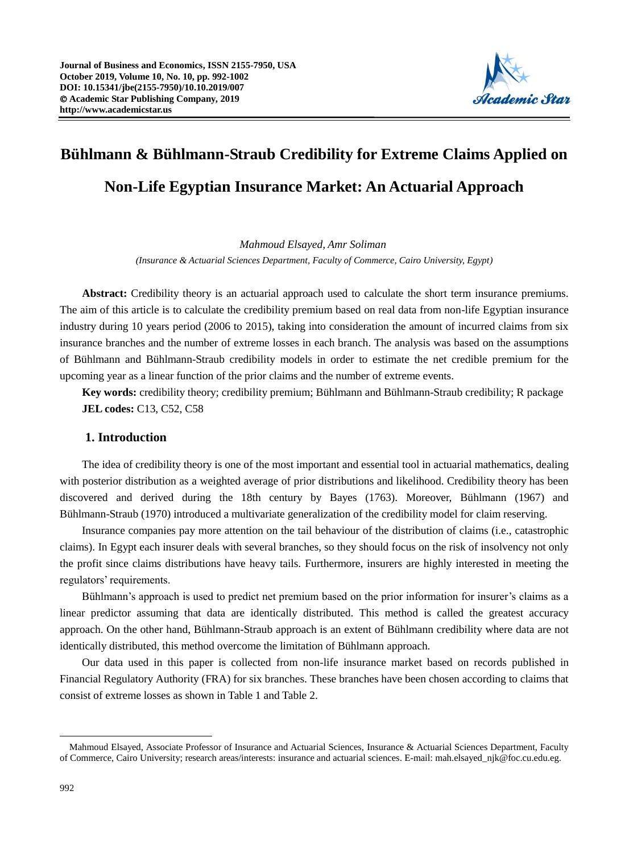

# **Bühlmann & Bühlmann-Straub Credibility for Extreme Claims Applied on Non-Life Egyptian Insurance Market: An Actuarial Approach**

*Mahmoud Elsayed, Amr Soliman (Insurance & Actuarial Sciences Department, Faculty of Commerce, Cairo University, Egypt)* 

**Abstract:** Credibility theory is an actuarial approach used to calculate the short term insurance premiums. The aim of this article is to calculate the credibility premium based on real data from non-life Egyptian insurance industry during 10 years period (2006 to 2015), taking into consideration the amount of incurred claims from six insurance branches and the number of extreme losses in each branch. The analysis was based on the assumptions of Bühlmann and Bühlmann-Straub credibility models in order to estimate the net credible premium for the upcoming year as a linear function of the prior claims and the number of extreme events.

**Key words:** credibility theory; credibility premium; Bühlmann and Bühlmann-Straub credibility; R package **JEL codes:** C13, C52, C58

### **1. Introduction**

The idea of credibility theory is one of the most important and essential tool in actuarial mathematics, dealing with posterior distribution as a weighted average of prior distributions and likelihood. Credibility theory has been discovered and derived during the 18th century by Bayes (1763). Moreover, Bühlmann (1967) and Bühlmann-Straub (1970) introduced a multivariate generalization of the credibility model for claim reserving.

Insurance companies pay more attention on the tail behaviour of the distribution of claims (i.e., catastrophic claims). In Egypt each insurer deals with several branches, so they should focus on the risk of insolvency not only the profit since claims distributions have heavy tails. Furthermore, insurers are highly interested in meeting the regulators' requirements.

Bühlmann's approach is used to predict net premium based on the prior information for insurer's claims as a linear predictor assuming that data are identically distributed. This method is called the greatest accuracy approach. On the other hand, Bühlmann-Straub approach is an extent of Bühlmann credibility where data are not identically distributed, this method overcome the limitation of Bühlmann approach.

Our data used in this paper is collected from non-life insurance market based on records published in Financial Regulatory Authority (FRA) for six branches. These branches have been chosen according to claims that consist of extreme losses as shown in Table 1 and Table 2.

<u>.</u>

Mahmoud Elsayed, Associate Professor of Insurance and Actuarial Sciences, Insurance & Actuarial Sciences Department, Faculty of Commerce, Cairo University; research areas/interests: insurance and actuarial sciences. E-mail: mah.elsayed\_njk@foc.cu.edu.eg.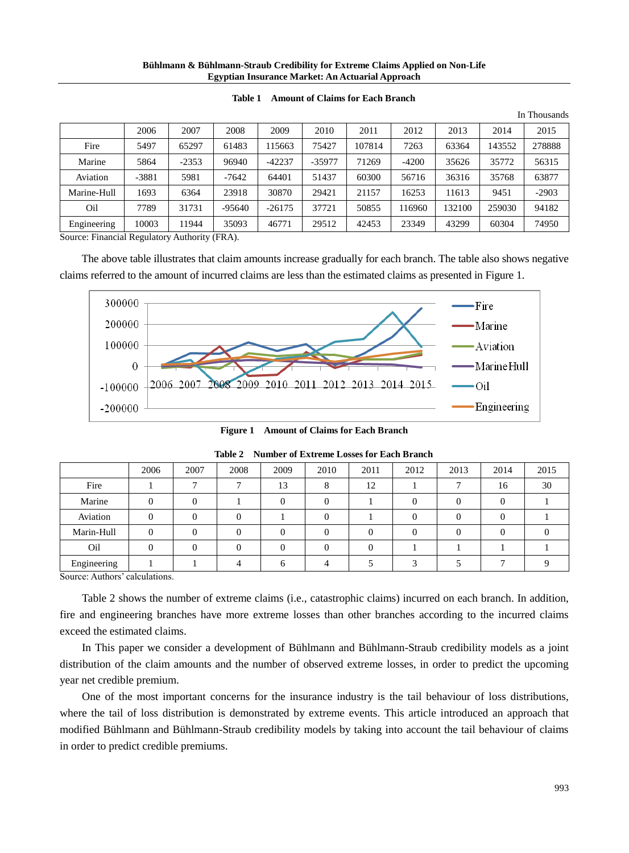#### **Bühlmann & Bühlmann-Straub Credibility for Extreme Claims Applied on Non-Life Egyptian Insurance Market: An Actuarial Approach**

|             |         |         |          |          |          |        |         |        |        | In Thousands |
|-------------|---------|---------|----------|----------|----------|--------|---------|--------|--------|--------------|
|             | 2006    | 2007    | 2008     | 2009     | 2010     | 2011   | 2012    | 2013   | 2014   | 2015         |
| Fire        | 5497    | 65297   | 61483    | 115663   | 75427    | 107814 | 7263    | 63364  | 143552 | 278888       |
| Marine      | 5864    | $-2353$ | 96940    | $-42237$ | $-35977$ | 71269  | $-4200$ | 35626  | 35772  | 56315        |
| Aviation    | $-3881$ | 5981    | $-7642$  | 64401    | 51437    | 60300  | 56716   | 36316  | 35768  | 63877        |
| Marine-Hull | 1693    | 6364    | 23918    | 30870    | 29421    | 21157  | 16253   | 11613  | 9451   | $-2903$      |
| Oil         | 7789    | 31731   | $-95640$ | $-26175$ | 37721    | 50855  | 116960  | 132100 | 259030 | 94182        |
| Engineering | 10003   | 11944   | 35093    | 46771    | 29512    | 42453  | 23349   | 43299  | 60304  | 74950        |

#### **Table 1 Amount of Claims for Each Branch**

Source: Financial Regulatory Authority (FRA).

The above table illustrates that claim amounts increase gradually for each branch. The table also shows negative claims referred to the amount of incurred claims are less than the estimated claims as presented in Figure 1.



**Figure 1 Amount of Claims for Each Branch**

|             | 2006 | 2007 | 2008 | 2009 | 2010 | 2011 | 2012 | 2013 | 2014 | 2015 |
|-------------|------|------|------|------|------|------|------|------|------|------|
| Fire        |      |      |      | 13   |      | 12   |      |      | 16   | 30   |
| Marine      |      |      |      |      |      |      |      |      |      |      |
| Aviation    |      |      |      |      |      |      |      |      |      |      |
| Marin-Hull  |      |      |      |      |      |      |      |      |      |      |
| Oil         |      |      |      |      |      |      |      |      |      |      |
| Engineering |      |      |      |      |      |      |      |      |      |      |

**Table 2 Number of Extreme Losses for Each Branch**

Source: Authors' calculations.

Table 2 shows the number of extreme claims (i.e., catastrophic claims) incurred on each branch. In addition, fire and engineering branches have more extreme losses than other branches according to the incurred claims exceed the estimated claims.

In This paper we consider a development of Bühlmann and Bühlmann-Straub credibility models as a joint distribution of the claim amounts and the number of observed extreme losses, in order to predict the upcoming year net credible premium.

One of the most important concerns for the insurance industry is the tail behaviour of loss distributions, where the tail of loss distribution is demonstrated by extreme events. This article introduced an approach that modified Bühlmann and Bühlmann-Straub credibility models by taking into account the tail behaviour of claims in order to predict credible premiums.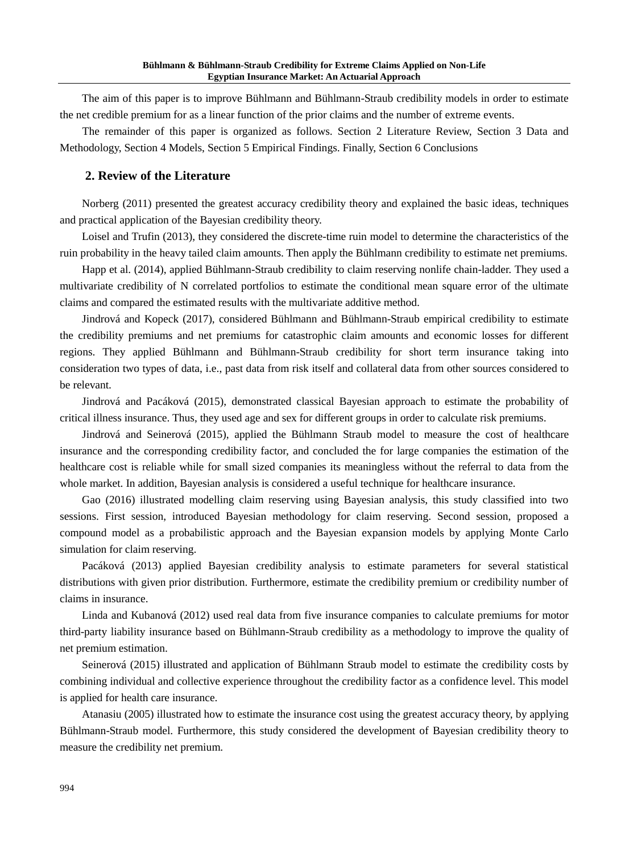The aim of this paper is to improve Bühlmann and Bühlmann-Straub credibility models in order to estimate the net credible premium for as a linear function of the prior claims and the number of extreme events.

The remainder of this paper is organized as follows. Section 2 Literature Review, Section 3 Data and Methodology, Section 4 Models, Section 5 Empirical Findings. Finally, Section 6 Conclusions

### **2. Review of the Literature**

Norberg (2011) presented the greatest accuracy credibility theory and explained the basic ideas, techniques and practical application of the Bayesian credibility theory.

Loisel and Trufin (2013), they considered the discrete-time ruin model to determine the characteristics of the ruin probability in the heavy tailed claim amounts. Then apply the Bühlmann credibility to estimate net premiums.

Happ et al. (2014), applied Bühlmann-Straub credibility to claim reserving nonlife chain-ladder. They used a multivariate credibility of N correlated portfolios to estimate the conditional mean square error of the ultimate claims and compared the estimated results with the multivariate additive method.

Jindrová and Kopeck (2017), considered Bühlmann and Bühlmann-Straub empirical credibility to estimate the credibility premiums and net premiums for catastrophic claim amounts and economic losses for different regions. They applied Bühlmann and Bühlmann-Straub credibility for short term insurance taking into consideration two types of data, i.e., past data from risk itself and collateral data from other sources considered to be relevant.

Jindrová and Pacáková (2015), demonstrated classical Bayesian approach to estimate the probability of critical illness insurance. Thus, they used age and sex for different groups in order to calculate risk premiums.

Jindrová and Seinerová (2015), applied the Bühlmann Straub model to measure the cost of healthcare insurance and the corresponding credibility factor, and concluded the for large companies the estimation of the healthcare cost is reliable while for small sized companies its meaningless without the referral to data from the whole market. In addition, Bayesian analysis is considered a useful technique for healthcare insurance.

Gao (2016) illustrated modelling claim reserving using Bayesian analysis, this study classified into two sessions. First session, introduced Bayesian methodology for claim reserving. Second session, proposed a compound model as a probabilistic approach and the Bayesian expansion models by applying Monte Carlo simulation for claim reserving.

Pacáková (2013) applied Bayesian credibility analysis to estimate parameters for several statistical distributions with given prior distribution. Furthermore, estimate the credibility premium or credibility number of claims in insurance.

Linda and Kubanová (2012) used real data from five insurance companies to calculate premiums for motor third-party liability insurance based on Bühlmann-Straub credibility as a methodology to improve the quality of net premium estimation.

Seinerová (2015) illustrated and application of Bühlmann Straub model to estimate the credibility costs by combining individual and collective experience throughout the credibility factor as a confidence level. This model is applied for health care insurance.

Atanasiu (2005) illustrated how to estimate the insurance cost using the greatest accuracy theory, by applying Bühlmann-Straub model. Furthermore, this study considered the development of Bayesian credibility theory to measure the credibility net premium.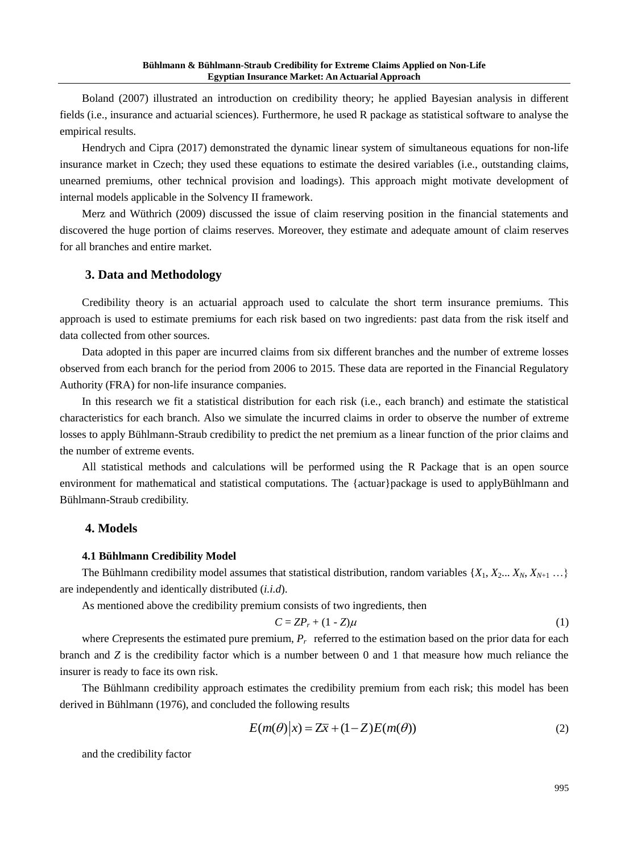Boland (2007) illustrated an introduction on credibility theory; he applied Bayesian analysis in different fields (i.e., insurance and actuarial sciences). Furthermore, he used R package as statistical software to analyse the empirical results.

Hendrych and Cipra (2017) demonstrated the dynamic linear system of simultaneous equations for non-life insurance market in Czech; they used these equations to estimate the desired variables (i.e., outstanding claims, unearned premiums, other technical provision and loadings). This approach might motivate development of internal models applicable in the Solvency II framework.

Merz and Wüthrich (2009) discussed the issue of claim reserving position in the financial statements and discovered the huge portion of claims reserves. Moreover, they estimate and adequate amount of claim reserves for all branches and entire market.

#### **3. Data and Methodology**

Credibility theory is an actuarial approach used to calculate the short term insurance premiums. This approach is used to estimate premiums for each risk based on two ingredients: past data from the risk itself and data collected from other sources.

Data adopted in this paper are incurred claims from six different branches and the number of extreme losses observed from each branch for the period from 2006 to 2015. These data are reported in the Financial Regulatory Authority (FRA) for non-life insurance companies.

In this research we fit a statistical distribution for each risk (i.e., each branch) and estimate the statistical characteristics for each branch. Also we simulate the incurred claims in order to observe the number of extreme losses to apply Bühlmann-Straub credibility to predict the net premium as a linear function of the prior claims and the number of extreme events.

All statistical methods and calculations will be performed using the R Package that is an open source environment for mathematical and statistical computations. The {actuar}package is used to applyBühlmann and Bühlmann-Straub credibility.

### **4. Models**

#### **4.1 Bühlmann Credibility Model**

The Bühlmann credibility model assumes that statistical distribution, random variables  $\{X_1, X_2, \ldots X_N, X_{N+1} \ldots\}$ are independently and identically distributed (*i.i.d*).

As mentioned above the credibility premium consists of two ingredients, then

$$
C = ZP_r + (1 - Z)\mu \tag{1}
$$

where *Crepresents* the estimated pure premium,  $P_r$  referred to the estimation based on the prior data for each branch and *Z* is the credibility factor which is a number between 0 and 1 that measure how much reliance the insurer is ready to face its own risk.

The Bühlmann credibility approach estimates the credibility premium from each risk; this model has been derived in Bühlmann (1976), and concluded the following results

$$
E(m(\theta)|x) = Z\overline{x} + (1-Z)E(m(\theta))
$$
\n(2)

and the credibility factor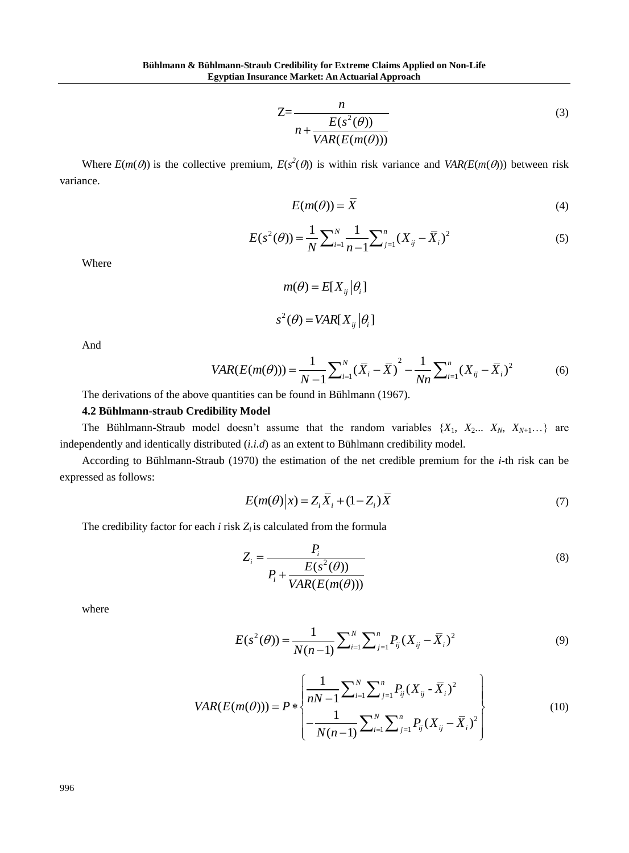$$
Z = \frac{n}{n + \frac{E(s^2(\theta))}{VAR(E(m(\theta)))}}
$$
(3)

Where  $E(m(\theta))$  is the collective premium,  $E(s^2(\theta))$  is within risk variance and  $VAR(E(m(\theta)))$  between risk variance.

$$
E(m(\theta)) = \overline{X}
$$
 (4)

$$
E(m(\theta)) = X
$$
\n
$$
E(s^{2}(\theta)) = \frac{1}{N} \sum_{i=1}^{N} \frac{1}{n-1} \sum_{j=1}^{n} (X_{ij} - \overline{X}_{i})^{2}
$$
\n(5)

Where

$$
m(\theta) = E[X_{ij}|\theta_i]
$$
  

$$
s^2(\theta) = VAR[X_{ij}|\theta_i]
$$

And

$$
s^{2}(\theta) = VAR[X_{ij}|\theta_{i}]
$$
  

$$
VAR(E(m(\theta))) = \frac{1}{N-1} \sum_{i=1}^{N} (\overline{X}_{i} - \overline{X})^{2} - \frac{1}{Nn} \sum_{i=1}^{n} (X_{ij} - \overline{X}_{i})^{2}
$$
(6)

The derivations of the above quantities can be found in Bühlmann (1967).

## **4.2 Bühlmann-straub Credibility Model**

The Bühlmann-Straub model doesn't assume that the random variables  $\{X_1, X_2, \ldots, X_N, X_{N+1} \ldots\}$  are independently and identically distributed (*i.i.d*) as an extent to Bühlmann credibility model.

According to Bühlmann-Straub (1970) the estimation of the net credible premium for the *i-*th risk can be expressed as follows:

$$
E(m(\theta)|x) = Z_i \overline{X}_i + (1 - Z_i) \overline{X}
$$
\n(7)

The credibility factor for each  $i$  risk  $Z_i$  is calculated from the formula

$$
Z_i = \frac{P_i}{P_i + \frac{E(s^2(\theta))}{VAR(E(m(\theta)))}}
$$
(8)

where

$$
E(s^{2}(\theta)) = \frac{1}{N(n-1)} \sum_{i=1}^{N} \sum_{j=1}^{n} P_{ij} (X_{ij} - \overline{X}_{i})^{2}
$$
(9)

$$
E(s^{2}(\theta)) = \frac{1}{N(n-1)} \sum_{i=1}^{N} \sum_{j=1}^{n} P_{ij} (X_{ij} - X_{i})^{2}
$$
(9)  

$$
VAR(E(m(\theta))) = P * \left\{ \frac{1}{nN-1} \sum_{i=1}^{N} \sum_{j=1}^{n} P_{ij} (X_{ij} - \bar{X}_{i})^{2} - \frac{1}{N(n-1)} \sum_{i=1}^{N} \sum_{j=1}^{n} P_{ij} (X_{ij} - \bar{X}_{i})^{2} \right\}
$$
(10)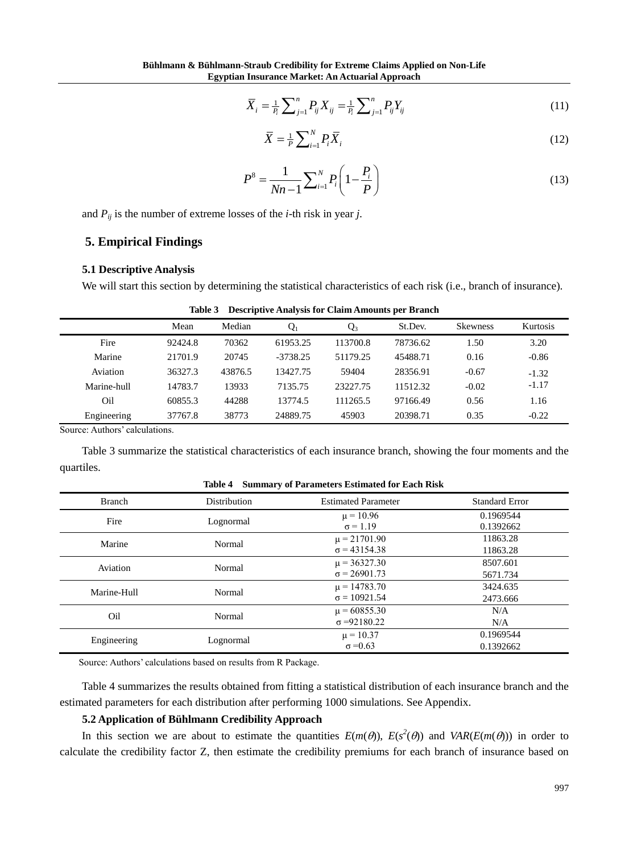$$
\overline{X}_i = \frac{1}{P_i} \sum_{j=1}^n P_{ij} X_{ij} = \frac{1}{P_i} \sum_{j=1}^n P_{ij} Y_{ij}
$$
\n(11)

$$
\overline{X} = \frac{1}{P} \sum_{i=1}^{N} P_i \overline{X}_i
$$
\n(12)

$$
P^{8} = \frac{1}{Nn-1} \sum_{i=1}^{N} P_{i} \left( 1 - \frac{P_{i}}{P} \right)
$$
 (13)

and  $P_{ij}$  is the number of extreme losses of the *i*-th risk in year *j*.

## **5. Empirical Findings**

#### **5.1 Descriptive Analysis**

We will start this section by determining the statistical characteristics of each risk (i.e., branch of insurance).

|             | Mean    | Median  | $Q_1$      | $Q_3$    | St.Dev.  | <b>Skewness</b> | Kurtosis |
|-------------|---------|---------|------------|----------|----------|-----------------|----------|
| Fire        | 92424.8 | 70362   | 61953.25   | 113700.8 | 78736.62 | 1.50            | 3.20     |
| Marine      | 21701.9 | 20745   | $-3738.25$ | 51179.25 | 45488.71 | 0.16            | $-0.86$  |
| Aviation    | 36327.3 | 43876.5 | 13427.75   | 59404    | 28356.91 | $-0.67$         | $-1.32$  |
| Marine-hull | 14783.7 | 13933   | 7135.75    | 23227.75 | 11512.32 | $-0.02$         | $-1.17$  |
| Oil         | 60855.3 | 44288   | 13774.5    | 111265.5 | 97166.49 | 0.56            | 1.16     |
| Engineering | 37767.8 | 38773   | 24889.75   | 45903    | 20398.71 | 0.35            | $-0.22$  |

**Table 3 Descriptive Analysis for Claim Amounts per Branch**

Source: Authors' calculations.

Table 3 summarize the statistical characteristics of each insurance branch, showing the four moments and the quartiles.

| <b>Branch</b> | Distribution | <b>Estimated Parameter</b> | <b>Standard Error</b> |
|---------------|--------------|----------------------------|-----------------------|
|               |              | $\mu = 10.96$              | 0.1969544             |
| Fire          | Lognormal    | $\sigma = 1.19$            | 0.1392662             |
| Marine        | Normal       | $\mu$ = 21701.90           | 11863.28              |
|               |              | $\sigma$ = 43154.38        | 11863.28              |
| Aviation      | Normal       | $\mu$ = 36327.30           | 8507.601              |
|               |              | $\sigma = 26901.73$        | 5671.734              |
| Marine-Hull   |              | $\mu$ = 14783.70           | 3424.635              |
|               | Normal       | $\sigma = 10921.54$        | 2473.666              |
| Oil           |              | $\mu$ = 60855.30           | N/A                   |
|               | Normal       | $\sigma = 92180.22$        | N/A                   |
|               |              | $\mu = 10.37$              | 0.1969544             |
| Engineering   | Lognormal    | $\sigma = 0.63$            | 0.1392662             |

**Table 4 Summary of Parameters Estimated for Each Risk**

Source: Authors' calculations based on results from R Package.

Table 4 summarizes the results obtained from fitting a statistical distribution of each insurance branch and the estimated parameters for each distribution after performing 1000 simulations. See Appendix.

## **5.2 Application of Bühlmann Credibility Approach**

In this section we are about to estimate the quantities  $E(m(\theta))$ ,  $E(s^2(\theta))$  and  $VAR(E(m(\theta)))$  in order to calculate the credibility factor Z, then estimate the credibility premiums for each branch of insurance based on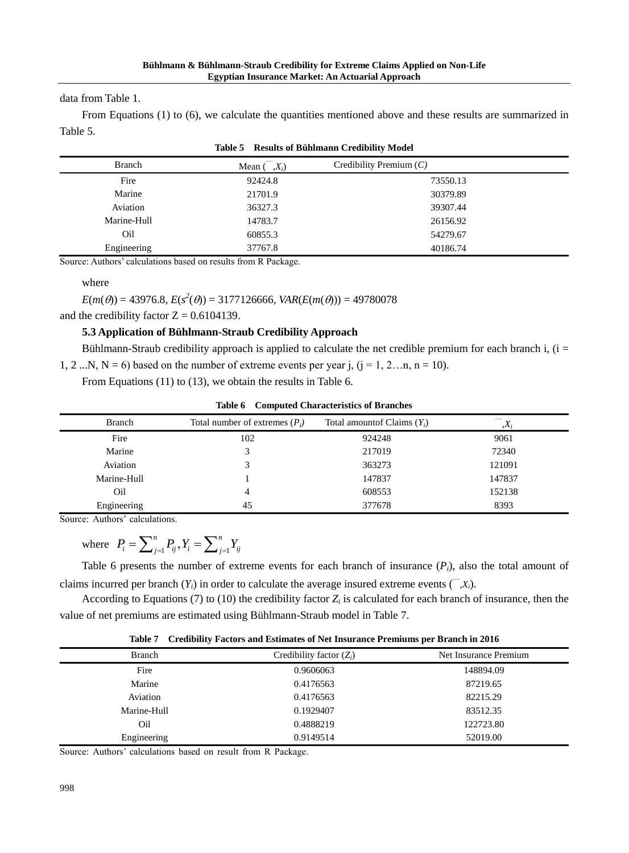data from Table 1.

From Equations (1) to (6), we calculate the quantities mentioned above and these results are summarized in Table 5.

| <b>Branch</b> | Mean (<br>$(X_i)$ | Credibility Premium $(C)$ |  |
|---------------|-------------------|---------------------------|--|
| Fire          | 92424.8           | 73550.13                  |  |
| Marine        | 21701.9           | 30379.89                  |  |
| Aviation      | 36327.3           | 39307.44                  |  |
| Marine-Hull   | 14783.7           | 26156.92                  |  |
| Oil           | 60855.3           | 54279.67                  |  |
| Engineering   | 37767.8           | 40186.74                  |  |

| Table 5 Results of Bühlmann Credibility Model |  |  |  |
|-----------------------------------------------|--|--|--|
|-----------------------------------------------|--|--|--|

Source: Authors' calculations based on results from R Package.

where

 $E(m(\theta)) = 43976.8, E(s^2(\theta)) = 3177126666, VAR(E(m(\theta))) = 49780078$ 

and the credibility factor  $Z = 0.6104139$ .

## **5.3 Application of Bühlmann-Straub Credibility Approach**

Bühlmann-Straub credibility approach is applied to calculate the net credible premium for each branch i,  $(i =$ 

1, 2 ...N,  $N = 6$ ) based on the number of extreme events per year j,  $(j = 1, 2...n, n = 10)$ .

From Equations (11) to (13), we obtain the results in Table 6.

| <b>Branch</b> | Total number of extremes $(P_i)$ | Total amount of Claims $(Y_i)$ | $\Lambda_i$ |  |
|---------------|----------------------------------|--------------------------------|-------------|--|
| Fire          | 102                              | 924248                         | 9061        |  |
| Marine        |                                  | 217019                         | 72340       |  |
| Aviation      |                                  | 363273                         | 121091      |  |
| Marine-Hull   |                                  | 147837                         | 147837      |  |
| Oil           |                                  | 608553                         | 152138      |  |
| Engineering   | 45                               | 377678                         | 8393        |  |
|               |                                  |                                |             |  |

|  |  | <b>Table 6 Computed Characteristics of Branches</b> |  |  |
|--|--|-----------------------------------------------------|--|--|
|--|--|-----------------------------------------------------|--|--|

Source: Authors' calculations.

where  $P_i = \sum_{j=1}^{n} P_{ij}$ ,  $Y_i = \sum_{j=1}^{n} P_{ij}$  $P_i = \sum_{j=1}^n P_{ij}$ ,  $Y_i = \sum_{j=1}^n Y_{ij}$ 

Table 6 presents the number of extreme events for each branch of insurance  $(P_i)$ , also the total amount of claims incurred per branch  $(Y_i)$  in order to calculate the average insured extreme events  $(\bar{x}, X_i)$ .

According to Equations (7) to (10) the credibility factor  $Z_i$  is calculated for each branch of insurance, then the value of net premiums are estimated using Bühlmann-Straub model in Table 7.

**Table 7 Credibility Factors and Estimates of Net Insurance Premiums per Branch in 2016**

| <b>Branch</b> | Credibility factor $(Z_i)$ | Net Insurance Premium |
|---------------|----------------------------|-----------------------|
| Fire          | 0.9606063                  | 148894.09             |
| Marine        | 0.4176563                  | 87219.65              |
| Aviation      | 0.4176563                  | 82215.29              |
| Marine-Hull   | 0.1929407                  | 83512.35              |
| Oil           | 0.4888219                  | 122723.80             |
| Engineering   | 0.9149514                  | 52019.00              |

Source: Authors' calculations based on result from R Package.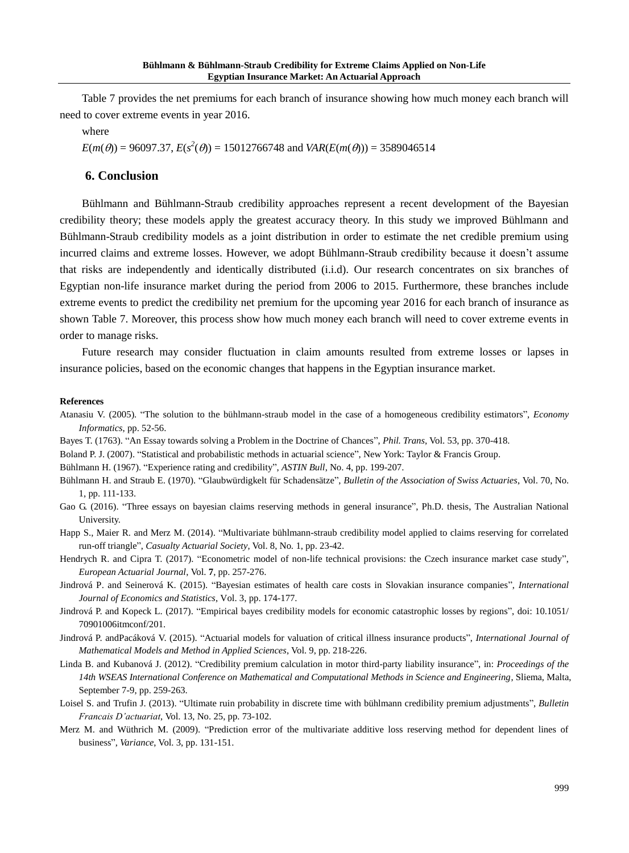Table 7 provides the net premiums for each branch of insurance showing how much money each branch will need to cover extreme events in year 2016.

where

 $E(m(\theta)) = 96097.37$ ,  $E(s^2(\theta)) = 15012766748$  and  $VAR(E(m(\theta))) = 3589046514$ 

#### **6. Conclusion**

Bühlmann and Bühlmann-Straub credibility approaches represent a recent development of the Bayesian credibility theory; these models apply the greatest accuracy theory. In this study we improved Bühlmann and Bühlmann-Straub credibility models as a joint distribution in order to estimate the net credible premium using incurred claims and extreme losses. However, we adopt Bühlmann-Straub credibility because it doesn't assume that risks are independently and identically distributed (i.i.d). Our research concentrates on six branches of Egyptian non-life insurance market during the period from 2006 to 2015. Furthermore, these branches include extreme events to predict the credibility net premium for the upcoming year 2016 for each branch of insurance as shown Table 7. Moreover, this process show how much money each branch will need to cover extreme events in order to manage risks.

Future research may consider fluctuation in claim amounts resulted from extreme losses or lapses in insurance policies, based on the economic changes that happens in the Egyptian insurance market.

#### **References**

- Atanasiu V. (2005). "The solution to the bühlmann-straub model in the case of a homogeneous credibility estimators", *Economy Informatics*, pp. 52-56.
- Bayes T. (1763). "An Essay towards solving a Problem in the Doctrine of Chances", *Phil. Trans*, Vol. 53, pp. 370-418.
- Boland P. J. (2007). "Statistical and probabilistic methods in actuarial science", New York: Taylor & Francis Group.

Bühlmann H. (1967). "Experience rating and credibility", *ASTIN Bull*, No. 4, pp. 199-207.

- Bühlmann H. and Straub E. (1970). "Glaubwürdigkelt für Schadensätze", *Bulletin of the Association of Swiss Actuaries*, Vol. 70, No. 1, pp. 111-133.
- Gao G. (2016). "Three essays on bayesian claims reserving methods in general insurance", Ph.D. thesis, The Australian National University.
- Happ S., Maier R. and Merz M. (2014). "Multivariate bühlmann-straub credibility model applied to claims reserving for correlated run-off triangle", *Casualty Actuarial Society*, Vol. 8, No. 1, pp. 23-42.
- Hendrych R. and Cipra T. (2017). "Econometric model of non-life technical provisions: the Czech insurance market case study", *European Actuarial Journal*, Vol. **7**, pp. 257-276.
- Jindrová P. and Seinerová K. (2015). "Bayesian estimates of health care costs in Slovakian insurance companies", *International Journal of Economics and Statistics*, Vol. 3, pp. 174-177.
- Jindrová P. and Kopeck L. (2017). "Empirical bayes credibility models for economic catastrophic losses by regions", doi: 10.1051/ 70901006itmconf/201.
- Jindrová P. andPacáková V. (2015). "Actuarial models for valuation of critical illness insurance products", *International Journal of Mathematical Models and Method in Applied Sciences*, Vol. 9, pp. 218-226.
- Linda B. and Kubanová J. (2012). "Credibility premium calculation in motor third-party liability insurance", in: *Proceedings of the 14th WSEAS International Conference on Mathematical and Computational Methods in Science and Engineering*, Sliema, Malta, September 7-9, pp. 259-263.
- Loisel S. and Trufin J. (2013). "Ultimate ruin probability in discrete time with bühlmann credibility premium adjustments", *Bulletin Francais D'actuariat*, Vol. 13, No. 25, pp. 73-102.
- Merz M. and Wüthrich M. (2009). "Prediction error of the multivariate additive loss reserving method for dependent lines of business", *Variance*, Vol. 3, pp. 131-151.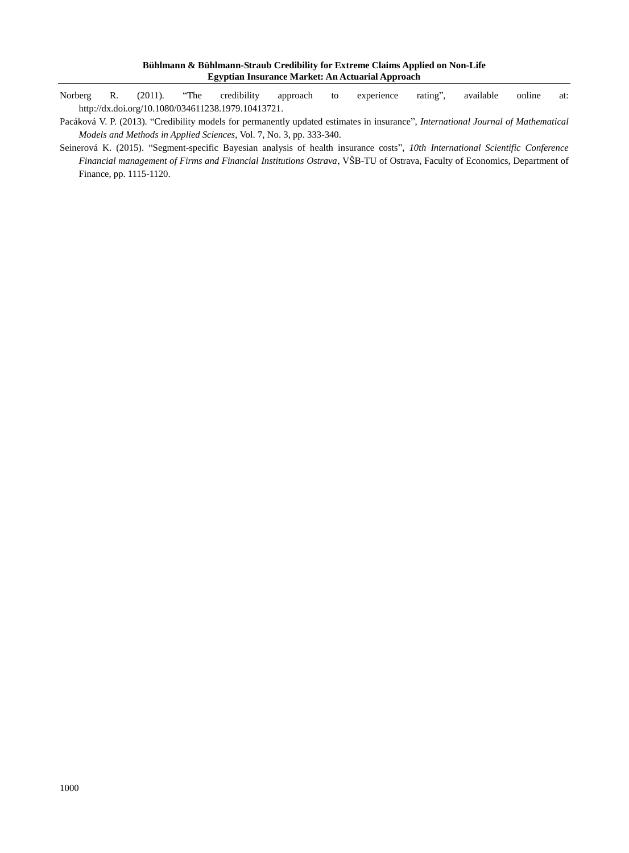- Norberg R. (2011). "The credibility approach to experience rating", available online at: http://dx.doi.org/10.1080/034611238.1979.10413721.
- Pacáková V. P. (2013). "Credibility models for permanently updated estimates in insurance", *International Journal of Mathematical Models and Methods in Applied Sciences*, Vol. 7, No. 3, pp. 333-340.
- Seinerová K. (2015). "Segment-specific Bayesian analysis of health insurance costs", *10th International Scientific Conference Financial management of Firms and Financial Institutions Ostrava*, VŠB-TU of Ostrava, Faculty of Economics, Department of Finance, pp. 1115-1120.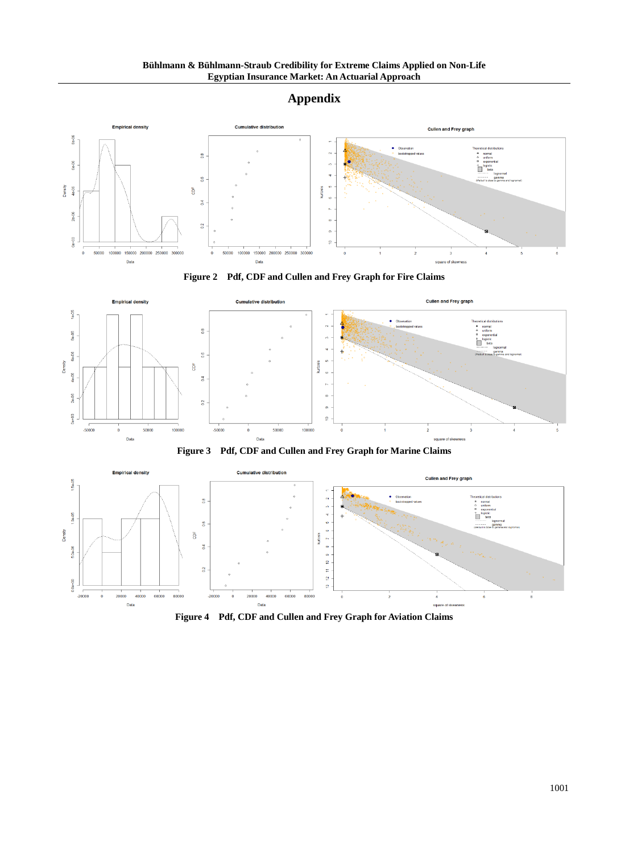## **Appendix**











**Figure 4 Pdf, CDF and Cullen and Frey Graph for Aviation Claims**